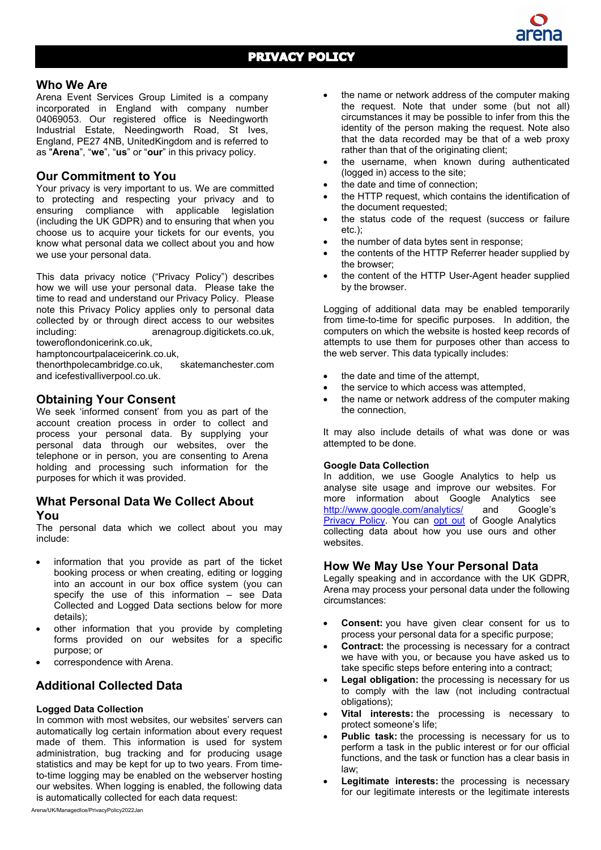### **Who We Are**

Arena Event Services Group Limited is a company incorporated in England with company number 04069053. Our registered office is Needingworth Industrial Estate, Needingworth Road, St Ives, England, PE27 4NB, UnitedKingdom and is referred to as "**Arena**", "**we**", "**us**" or "**our**" in this privacy policy.

## **Our Commitment to You**

Your privacy is very important to us. We are committed to protecting and respecting your privacy and to ensuring compliance with applicable legislation (including the UK GDPR) and to ensuring that when you choose us to acquire your tickets for our events, you know what personal data we collect about you and how we use your personal data.

This data privacy notice ("Privacy Policy") describes how we will use your personal data. Please take the time to read and understand our Privacy Policy. Please note this Privacy Policy applies only to personal data collected by or through direct access to our websites including: arenagroup.digitickets.co.uk, toweroflondonicerink.co.uk,

hamptoncourtpalaceicerink.co.uk,

thenorthpolecambridge.co.uk, skatemanchester.com and icefestivalliverpool.co.uk.

## **Obtaining Your Consent**

We seek 'informed consent' from you as part of the account creation process in order to collect and process your personal data. By supplying your personal data through our websites, over the telephone or in person, you are consenting to Arena holding and processing such information for the purposes for which it was provided.

### **What Personal Data We Collect About You**

The personal data which we collect about you may include:

- information that you provide as part of the ticket booking process or when creating, editing or logging into an account in our box office system (you can specify the use of this information  $-$  see Data Collected and Logged Data sections below for more details);
- other information that you provide by completing forms provided on our websites for a specific purpose; or
- correspondence with Arena.

# **Additional Collected Data**

#### **Logged Data Collection**

In common with most websites, our websites' servers can automatically log certain information about every request made of them. This information is used for system administration, bug tracking and for producing usage statistics and may be kept for up to two years. From timeto-time logging may be enabled on the webserver hosting our websites. When logging is enabled, the following data is automatically collected for each data request:

- the name or network address of the computer making the request. Note that under some (but not all) circumstances it may be possible to infer from this the identity of the person making the request. Note also that the data recorded may be that of a web proxy rather than that of the originating client;
- the username, when known during authenticated (logged in) access to the site;
- the date and time of connection:
- the HTTP request, which contains the identification of the document requested;
- the status code of the request (success or failure etc.);
- the number of data bytes sent in response;
- the contents of the HTTP Referrer header supplied by the browser;
- the content of the HTTP User-Agent header supplied by the browser.

Logging of additional data may be enabled temporarily from time-to-time for specific purposes. In addition, the computers on which the website is hosted keep records of attempts to use them for purposes other than access to the web server. This data typically includes:

- the date and time of the attempt,
- the service to which access was attempted.
- the name or network address of the computer making the connection,

It may also include details of what was done or was attempted to be done.

#### **Google Data Collection**

In addition, we use Google Analytics to help us analyse site usage and improve our websites. For more information about Google Analytics see <http://www.google.com/analytics/> and Google's [Privacy Policy.](http://www.google.com/policies/privacy/) You can [opt](http://tools.google.com/dlpage/gaoptout) out of Google Analytics collecting data about how you use ours and other websites.

### **How We May Use Your Personal Data**

Legally speaking and in accordance with the UK GDPR, Arena may process your personal data under the following circumstances:

- **Consent:** you have given clear consent for us to process your personal data for a specific purpose;
- **Contract:** the processing is necessary for a contract we have with you, or because you have asked us to take specific steps before entering into a contract;
- **Legal obligation:** the processing is necessary for us to comply with the law (not including contractual obligations);
- **Vital interests:** the processing is necessary to protect someone's life;
- **Public task:** the processing is necessary for us to perform a task in the public interest or for our official functions, and the task or function has a clear basis in law;
- **Legitimate interests:** the processing is necessary for our legitimate interests or the legitimate interests